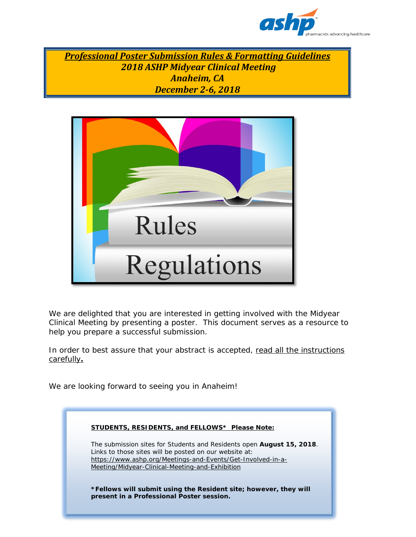

*Professional Poster Submission Rules & Formatting Guidelines 2018 ASHP Midyear Clinical Meeting Anaheim, CA December 2-6, 2018*



We are delighted that you are interested in getting involved with the Midyear Clinical Meeting by presenting a poster. This document serves as a resource to help you prepare a successful submission.

In order to best assure that your abstract is accepted, read all the instructions carefully**.**

We are looking forward to seeing you in Anaheim!

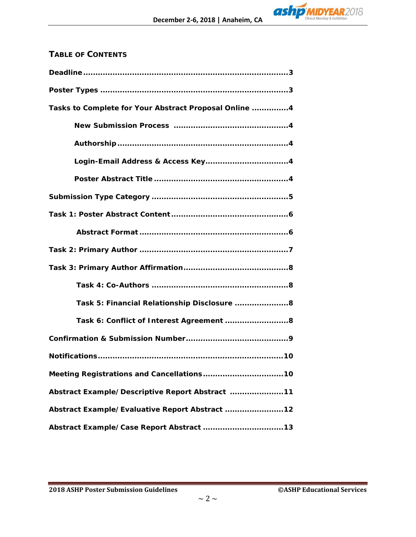

# **TABLE OF CONTENTS**

| Tasks to Complete for Your Abstract Proposal Online  4 |
|--------------------------------------------------------|
|                                                        |
|                                                        |
|                                                        |
|                                                        |
|                                                        |
|                                                        |
|                                                        |
|                                                        |
|                                                        |
|                                                        |
| Task 5: Financial Relationship Disclosure 8            |
| Task 6: Conflict of Interest Agreement  8              |
|                                                        |
|                                                        |
|                                                        |
| Abstract Example/Descriptive Report Abstract 11        |
| Abstract Example/Evaluative Report Abstract  12        |
|                                                        |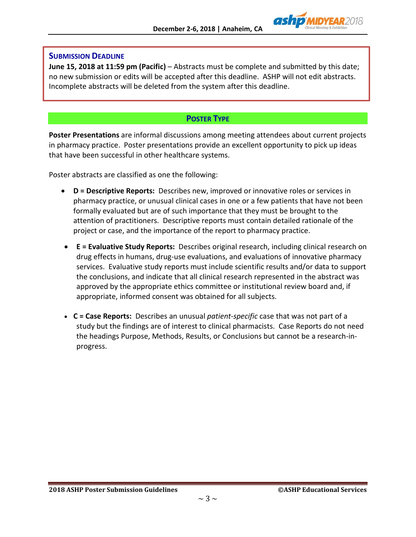

### **SUBMISSION DEADLINE**

**June 15, 2018 at 11:59 pm (Pacific)** – Abstracts must be complete and submitted by this date; no new submission or edits will be accepted after this deadline. ASHP will not edit abstracts. Incomplete abstracts will be deleted from the system after this deadline.

# **POSTER TYPE**

**Poster Presentations** are informal discussions among meeting attendees about current projects in pharmacy practice. Poster presentations provide an excellent opportunity to pick up ideas that have been successful in other healthcare systems.

Poster abstracts are classified as one the following:

- **D = Descriptive Reports:** Describes new, improved or innovative roles or services in pharmacy practice, or unusual clinical cases in one or a few patients that have not been formally evaluated but are of such importance that they must be brought to the attention of practitioners. Descriptive reports must contain detailed rationale of the project or case, and the importance of the report to pharmacy practice.
- **E = Evaluative Study Reports:** Describes original research, including clinical research on drug effects in humans, drug-use evaluations, and evaluations of innovative pharmacy services. Evaluative study reports must include scientific results and/or data to support the conclusions, and indicate that all clinical research represented in the abstract was approved by the appropriate ethics committee or institutional review board and, if appropriate, informed consent was obtained for all subjects.
- **C = Case Reports:** Describes an unusual *patient-specific* case that was not part of a study but the findings are of interest to clinical pharmacists. Case Reports do not need the headings Purpose, Methods, Results, or Conclusions but cannot be a research-inprogress.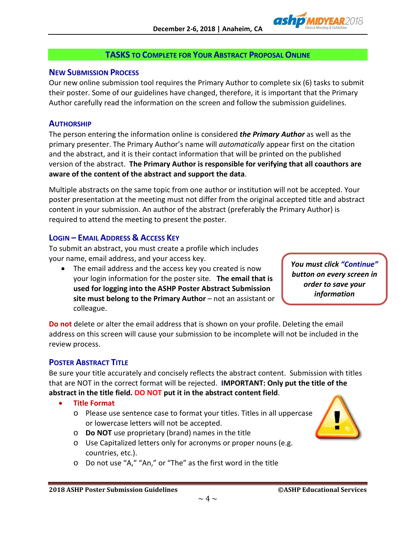

# **TASKS TO COMPLETE FOR YOUR ABSTRACT PROPOSAL ONLINE**

### **NEW SUBMISSION PROCESS**

Our new online submission tool requires the Primary Author to complete six (6) tasks to submit their poster. Some of our guidelines have changed, therefore, it is important that the Primary Author carefully read the information on the screen and follow the submission guidelines.

### **AUTHORSHIP**

The person entering the information online is considered *the Primary Author* as well as the primary presenter. The Primary Author's name will *automatically* appear first on the citation and the abstract, and it is their contact information that will be printed on the published version of the abstract. **The Primary Author is responsible for verifying that all coauthors are aware of the content of the abstract and support the data**.

Multiple abstracts on the same topic from one author or institution will not be accepted. Your poster presentation at the meeting must not differ from the original accepted title and abstract content in your submission. An author of the abstract (preferably the Primary Author) is required to attend the meeting to present the poster.

# **LOGIN – EMAIL ADDRESS & ACCESS KEY**

To submit an abstract, you must create a profile which includes your name, email address, and your access key.

• The email address and the access key you created is now your login information for the poster site. **The email that is used for logging into the ASHP Poster Abstract Submission site must belong to the Primary Author** – not an assistant or colleague.

*You must click "Continue" button on every screen in order to save your information*

**Do not** delete or alter the email address that is shown on your profile. Deleting the email address on this screen will cause your submission to be incomplete will not be included in the review process.

# **POSTER ABSTRACT TITLE**

Be sure your title accurately and concisely reflects the abstract content. Submission with titles that are NOT in the correct format will be rejected. **IMPORTANT: Only put the title of the abstract in the title field. DO NOT put it in the abstract content field**.

- **Title Format**
	- o Please use sentence case to format your titles. Titles in all uppercase or lowercase letters will not be accepted.
- 
- o **Do NOT** use proprietary (brand) names in the title
- o Use Capitalized letters only for acronyms or proper nouns (e.g. countries, etc.).
- o Do not use "A," "An," or "The" as the first word in the title

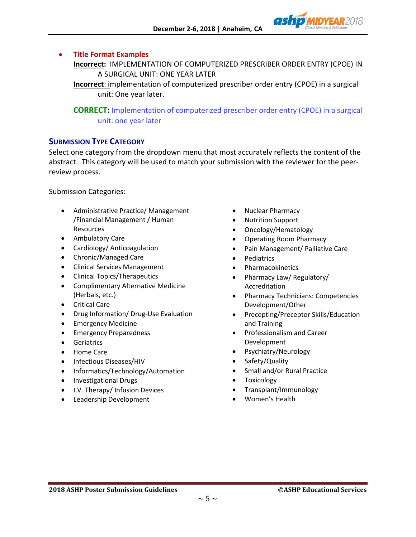

### • **Title Format Examples**

**Incorrect:** IMPLEMENTATION OF COMPUTERIZED PRESCRIBER ORDER ENTRY (CPOE) IN A SURGICAL UNIT: ONE YEAR LATER

**Incorrect**: implementation of computerized prescriber order entry (CPOE) in a surgical unit: One year later.

**CORRECT:** Implementation of computerized prescriber order entry (CPOE) in a surgical unit: one year later

### **SUBMISSION TYPE CATEGORY**

Select one category from the dropdown menu that most accurately reflects the content of the abstract. This category will be used to match your submission with the reviewer for the peerreview process.

Submission Categories:

- Administrative Practice/ Management /Financial Management / Human Resources
- Ambulatory Care
- Cardiology/ Anticoagulation
- Chronic/Managed Care
- Clinical Services Management
- Clinical Topics/Therapeutics
- Complimentary Alternative Medicine (Herbals, etc.)
- Critical Care
- Drug Information/ Drug-Use Evaluation
- Emergency Medicine
- Emergency Preparedness
- Geriatrics
- Home Care
- Infectious Diseases/HIV
- Informatics/Technology/Automation
- Investigational Drugs
- I.V. Therapy/ Infusion Devices
- Leadership Development
- Nuclear Pharmacy
- Nutrition Support
- Oncology/Hematology
- Operating Room Pharmacy
- Pain Management/ Palliative Care
- **Pediatrics**
- **Pharmacokinetics**
- Pharmacy Law/ Regulatory/ Accreditation
- Pharmacy Technicians: Competencies Development/Other
- Precepting/Preceptor Skills/Education and Training
- Professionalism and Career Development
- Psychiatry/Neurology
- Safety/Quality
- Small and/or Rural Practice
- Toxicology
- Transplant/Immunology
- Women's Health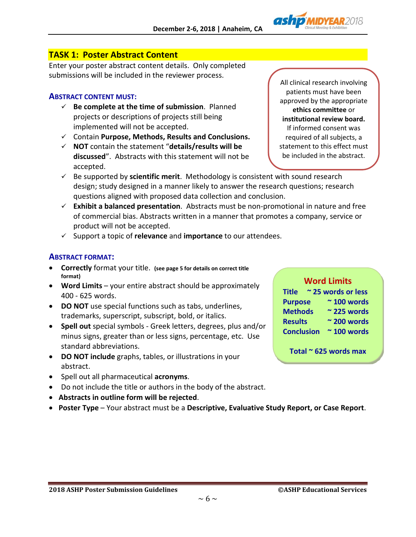

# **TASK 1: Poster Abstract Content**

Enter your poster abstract content details. Only completed submissions will be included in the reviewer process.

### **ABSTRACT CONTENT MUST:**

- **Be complete at the time of submission**. Planned projects or descriptions of projects still being implemented will not be accepted.
- Contain **Purpose, Methods, Results and Conclusions.**
- **NOT** contain the statement "**details/results will be discussed**". Abstracts with this statement will not be accepted.

All clinical research involving patients must have been approved by the appropriate **ethics committee** or **institutional review board.** If informed consent was required of all subjects, a statement to this effect must be included in the abstract.

- $\checkmark$  Be supported by **scientific merit**. Methodology is consistent with sound research design; study designed in a manner likely to answer the research questions; research questions aligned with proposed data collection and conclusion.
- **Exhibit a balanced presentation**. Abstracts must be non-promotional in nature and free of commercial bias. Abstracts written in a manner that promotes a company, service or product will not be accepted.
- Support a topic of **relevance** and **importance** to our attendees.

# **ABSTRACT FORMAT:**

- **Correctly** format your title. **(see page 5 for details on correct title format)**
- **Word Limits**  your entire abstract should be approximately 400 - 625 words.
- **DO NOT** use special functions such as tabs, underlines, trademarks, superscript, subscript, bold, or italics.
- **Spell out** special symbols Greek letters, degrees, plus and/or minus signs, greater than or less signs, percentage, etc. Use standard abbreviations.
- **DO NOT include** graphs, tables, or illustrations in your abstract.
- Spell out all pharmaceutical **acronyms**.
- Do not include the title or authors in the body of the abstract.
- **Abstracts in outline form will be rejected**.
- **Poster Type** Your abstract must be a **Descriptive, Evaluative Study Report, or Case Report**.

#### **Word Limits**

| <b>Title</b>      | ~25 words or less   |
|-------------------|---------------------|
| <b>Purpose</b>    | $~\sim$ 100 words   |
| <b>Methods</b>    | $\sim$ 225 words    |
| <b>Results</b>    | $\approx$ 200 words |
| <b>Conclusion</b> | $~\sim$ 100 words   |

**Total ~ 625 words max**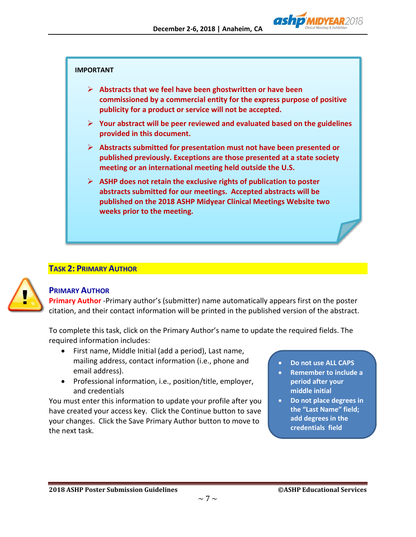

#### **IMPORTANT**

- **Abstracts that we feel have been ghostwritten or have been commissioned by a commercial entity for the express purpose of positive publicity for a product or service will not be accepted.**
- **Your abstract will be peer reviewed and evaluated based on the guidelines provided in this document.**
- **Abstracts submitted for presentation must not have been presented or published previously. Exceptions are those presented at a state society meeting or an international meeting held outside the U.S.**
- **ASHP does not retain the exclusive rights of publication to poster abstracts submitted for our meetings. Accepted abstracts will be published on the 2018 ASHP Midyear Clinical Meetings Website two weeks prior to the meeting.**

### **TASK 2: PRIMARY AUTHOR**



### **PRIMARY AUTHOR**

**Primary Author** -Primary author's (submitter) name automatically appears first on the poster citation, and their contact information will be printed in the published version of the abstract.

To complete this task, click on the Primary Author's name to update the required fields. The required information includes:

- First name, Middle Initial (add a period), Last name, mailing address, contact information (i.e., phone and email address).
- Professional information, i.e., position/title, employer, and credentials

You must enter this information to update your profile after you have created your access key. Click the Continue button to save your changes. Click the Save Primary Author button to move to the next task.

- **Do not use ALL CAPS**
- **Remember to include a period after your middle initial**
- **Do not place degrees in the "Last Name" field; add degrees in the credentials field**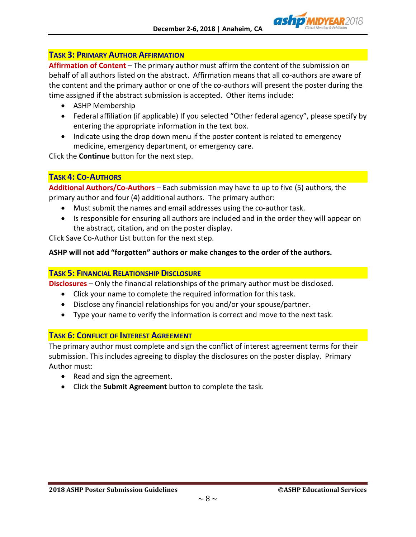# **TASK 3: PRIMARY AUTHOR AFFIRMATION**

**Affirmation of Content** – The primary author must affirm the content of the submission on behalf of all authors listed on the abstract. Affirmation means that all co-authors are aware of the content and the primary author or one of the co-authors will present the poster during the time assigned if the abstract submission is accepted. Other items include:

- ASHP Membership
- Federal affiliation (if applicable) If you selected "Other federal agency", please specify by entering the appropriate information in the text box.
- Indicate using the drop down menu if the poster content is related to emergency medicine, emergency department, or emergency care.

Click the **Continue** button for the next step.

# **TASK 4: CO-AUTHORS**

**Additional Authors/Co-Authors** – Each submission may have to up to five (5) authors, the primary author and four (4) additional authors. The primary author:

- Must submit the names and email addresses using the co-author task.
- Is responsible for ensuring all authors are included and in the order they will appear on the abstract, citation, and on the poster display.

Click Save Co-Author List button for the next step.

# **ASHP will not add "forgotten" authors or make changes to the order of the authors.**

### **TASK 5: FINANCIAL RELATIONSHIP DISCLOSURE**

**Disclosures** – Only the financial relationships of the primary author must be disclosed.

- Click your name to complete the required information for this task.
- Disclose any financial relationships for you and/or your spouse/partner.
- Type your name to verify the information is correct and move to the next task.

### **TASK 6: CONFLICT OF INTEREST AGREEMENT**

The primary author must complete and sign the conflict of interest agreement terms for their submission. This includes agreeing to display the disclosures on the poster display. Primary Author must:

- Read and sign the agreement.
- Click the **Submit Agreement** button to complete the task.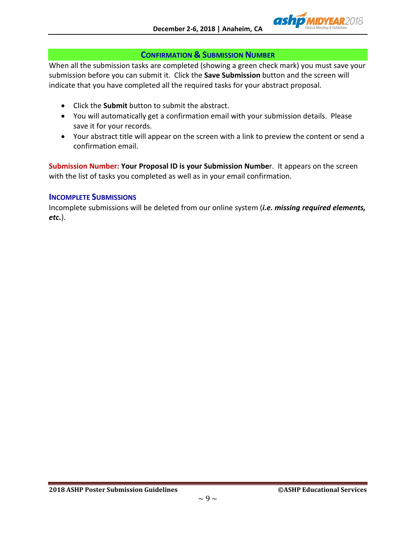

### **CONFIRMATION & SUBMISSION NUMBER**

When all the submission tasks are completed (showing a green check mark) you must save your submission before you can submit it. Click the **Save Submission** button and the screen will indicate that you have completed all the required tasks for your abstract proposal.

- Click the **Submit** button to submit the abstract.
- You will automatically get a confirmation email with your submission details. Please save it for your records.
- Your abstract title will appear on the screen with a link to preview the content or send a confirmation email.

**Submission Number: Your Proposal ID is your Submission Numbe**r. It appears on the screen with the list of tasks you completed as well as in your email confirmation.

### **INCOMPLETE SUBMISSIONS**

Incomplete submissions will be deleted from our online system (*i.e. missing required elements, etc.*).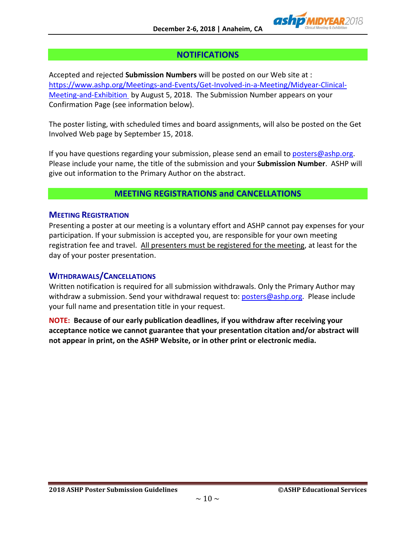

# **NOTIFICATIONS**

Accepted and rejected **Submission Numbers** will be posted on our Web site at : [https://www.ashp.org/Meetings-and-Events/Get-Involved-in-a-Meeting/Midyear-Clinical-](https://www.ashp.org/Meetings-and-Events/Get-Involved-in-a-Meeting/Midyear-Clinical-Meeting-and-Exhibition)[Meeting-and-Exhibition](https://www.ashp.org/Meetings-and-Events/Get-Involved-in-a-Meeting/Midyear-Clinical-Meeting-and-Exhibition) by August 5, 2018. The Submission Number appears on your Confirmation Page (see information below).

The poster listing, with scheduled times and board assignments, will also be posted on the Get Involved Web page by September 15, 2018.

If you have questions regarding your submission, please send an email t[o posters@ashp.org.](mailto:posters@ashp.org) Please include your name, the title of the submission and your **Submission Number**. ASHP will give out information to the Primary Author on the abstract.

# **MEETING REGISTRATIONS and CANCELLATIONS**

### **MEETING REGISTRATION**

Presenting a poster at our meeting is a voluntary effort and ASHP cannot pay expenses for your participation. If your submission is accepted you, are responsible for your own meeting registration fee and travel. All presenters must be registered for the meeting, at least for the day of your poster presentation.

### **WITHDRAWALS/CANCELLATIONS**

Written notification is required for all submission withdrawals. Only the Primary Author may withdraw a submission. Send your withdrawal request to[: posters@ashp.org.](mailto:posters@ashp.org) Please include your full name and presentation title in your request.

**NOTE: Because of our early publication deadlines, if you withdraw after receiving your acceptance notice we cannot guarantee that your presentation citation and/or abstract will not appear in print, on the ASHP Website, or in other print or electronic media.**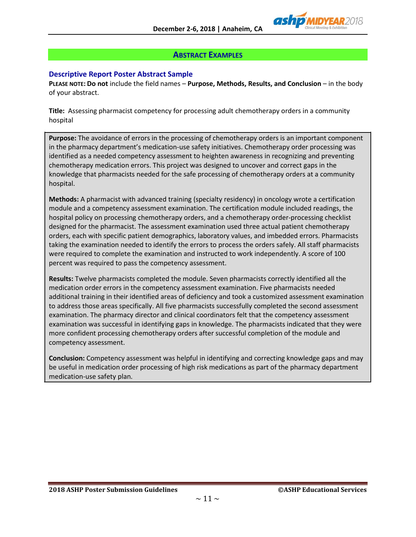

### **ABSTRACT EXAMPLES**

### **Descriptive Report Poster Abstract Sample**

**PLEASE NOTE: Do not** include the field names – **Purpose, Methods, Results, and Conclusion** – in the body of your abstract.

**Title:** Assessing pharmacist competency for processing adult chemotherapy orders in a community hospital

**Purpose:** The avoidance of errors in the processing of chemotherapy orders is an important component in the pharmacy department's medication-use safety initiatives. Chemotherapy order processing was identified as a needed competency assessment to heighten awareness in recognizing and preventing chemotherapy medication errors. This project was designed to uncover and correct gaps in the knowledge that pharmacists needed for the safe processing of chemotherapy orders at a community hospital.

**Methods:** A pharmacist with advanced training (specialty residency) in oncology wrote a certification module and a competency assessment examination. The certification module included readings, the hospital policy on processing chemotherapy orders, and a chemotherapy order-processing checklist designed for the pharmacist. The assessment examination used three actual patient chemotherapy orders, each with specific patient demographics, laboratory values, and imbedded errors. Pharmacists taking the examination needed to identify the errors to process the orders safely. All staff pharmacists were required to complete the examination and instructed to work independently. A score of 100 percent was required to pass the competency assessment.

**Results:** Twelve pharmacists completed the module. Seven pharmacists correctly identified all the medication order errors in the competency assessment examination. Five pharmacists needed additional training in their identified areas of deficiency and took a customized assessment examination to address those areas specifically. All five pharmacists successfully completed the second assessment examination. The pharmacy director and clinical coordinators felt that the competency assessment examination was successful in identifying gaps in knowledge. The pharmacists indicated that they were more confident processing chemotherapy orders after successful completion of the module and competency assessment.

**Conclusion:** Competency assessment was helpful in identifying and correcting knowledge gaps and may be useful in medication order processing of high risk medications as part of the pharmacy department medication-use safety plan.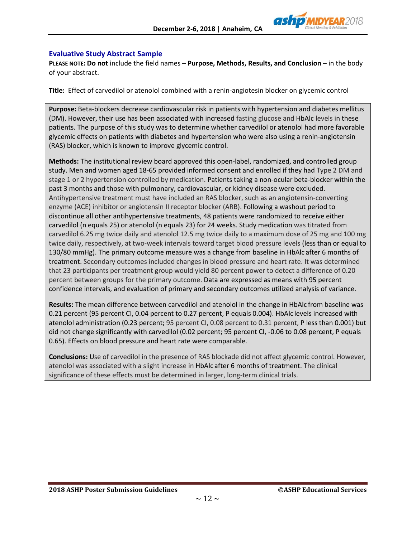

#### **Evaluative Study Abstract Sample**

**PLEASE NOTE: Do not** include the field names – **Purpose, Methods, Results, and Conclusion** – in the body of your abstract.

**Title:** Effect of carvedilol or atenolol combined with a renin-angiotesin blocker on glycemic control

**Purpose:** Beta-blockers decrease cardiovascular risk in patients with hypertension and diabetes mellitus (DM). However, their use has been associated with increased fasting glucose and HbAlc levels in these patients. The purpose of this study was to determine whether carvedilol or atenolol had more favorable glycemic effects on patients with diabetes and hypertension who were also using a renin-angiotensin (RAS) blocker, which is known to improve glycemic control.

**Methods:** The institutional review board approved this open-label, randomized, and controlled group study. Men and women aged 18-65 provided informed consent and enrolled if they had Type 2 DM and stage 1 or 2 hypertension controlled by medication. Patients taking a non-ocular beta-blocker within the past 3 months and those with pulmonary, cardiovascular, or kidney disease were excluded. Antihypertensive treatment must have included an RAS blocker, such as an angiotensin-converting enzyme (ACE) inhibitor or angiotensin II receptor blocker (ARB). Following a washout period to discontinue all other antihypertensive treatments, 48 patients were randomized to receive either carvedilol (n equals 25) or atenolol (n equals 23) for 24 weeks. Study medication was titrated from carvedilol 6.25 mg twice daily and atenolol 12.5 mg twice daily to a maximum dose of 25 mg and 100 mg twice daily, respectively, at two-week intervals toward target blood pressure levels (less than or equal to 130/80 mmHg). The primary outcome measure was a change from baseline in HbAlc after 6 months of treatment. Secondary outcomes included changes in blood pressure and heart rate. It was determined that 23 participants per treatment group would yield 80 percent power to detect a difference of 0.20 percent between groups for the primary outcome. Data are expressed as means with 95 percent confidence intervals, and evaluation of primary and secondary outcomes utilized analysis of variance.

**Results:** The mean difference between carvedilol and atenolol in the change in HbAlc from baseline was 0.21 percent (95 percent CI, 0.04 percent to 0.27 percent, P equals 0.004). HbAlc levels increased with atenolol administration (0.23 percent; 95 percent CI, 0.08 percent to 0.31 percent, P less than 0.001) but did not change significantly with carvedilol (0.02 percent; 95 percent CI, -0.06 to 0.08 percent, P equals 0.65). Effects on blood pressure and heart rate were comparable.

**Conclusions:** Use of carvedilol in the presence of RAS blockade did not affect glycemic control. However, atenolol was associated with a slight increase in HbAlc after 6 months of treatment. The clinical significance of these effects must be determined in larger, long-term clinical trials.